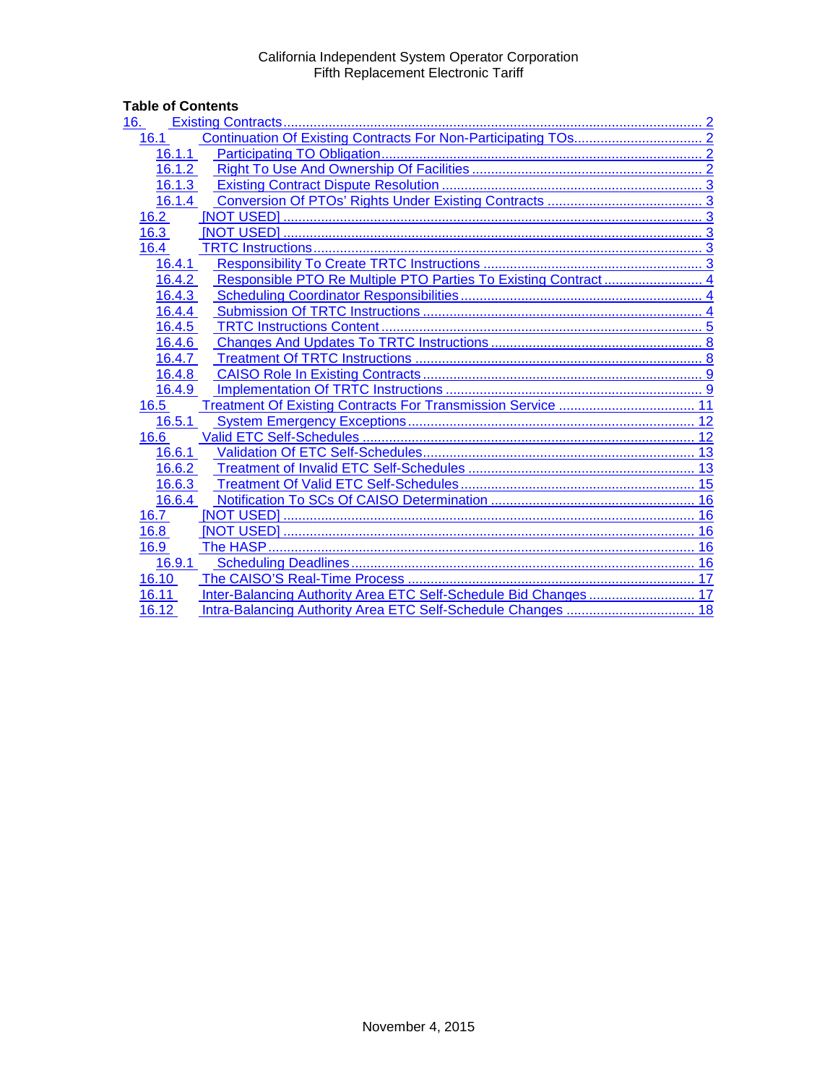# **Table of Contents**<br>16. **Existing Co**

| 16.                                                                      |      |
|--------------------------------------------------------------------------|------|
| 16.1                                                                     |      |
| 16.1.1                                                                   |      |
| 16.1.2                                                                   |      |
| 16.1.3                                                                   |      |
| 16.1.4                                                                   |      |
| 16.2                                                                     |      |
| 16.3                                                                     |      |
| 16.4                                                                     |      |
| 16.4.1                                                                   |      |
| 16.4.2                                                                   |      |
| 16.4.3                                                                   |      |
| 16.4.4                                                                   |      |
| 16.4.5                                                                   |      |
| 16.4.6                                                                   |      |
| 16.4.7                                                                   |      |
| 16.4.8                                                                   |      |
| 16.4.9                                                                   |      |
| Treatment Of Existing Contracts For Transmission Service  11<br>16.5     |      |
| 16.5.1                                                                   |      |
| 16.6                                                                     |      |
| 16.6.1                                                                   |      |
| 16.6.2                                                                   |      |
| 16.6.3                                                                   | . 15 |
| 16.6.4                                                                   |      |
| 16.7                                                                     |      |
| 16.8                                                                     | 16   |
| 16.9                                                                     |      |
| 16.9.1                                                                   |      |
| 16.10                                                                    | 17   |
| Inter-Balancing Authority Area ETC Self-Schedule Bid Changes 17<br>16.11 |      |
| 16.12                                                                    |      |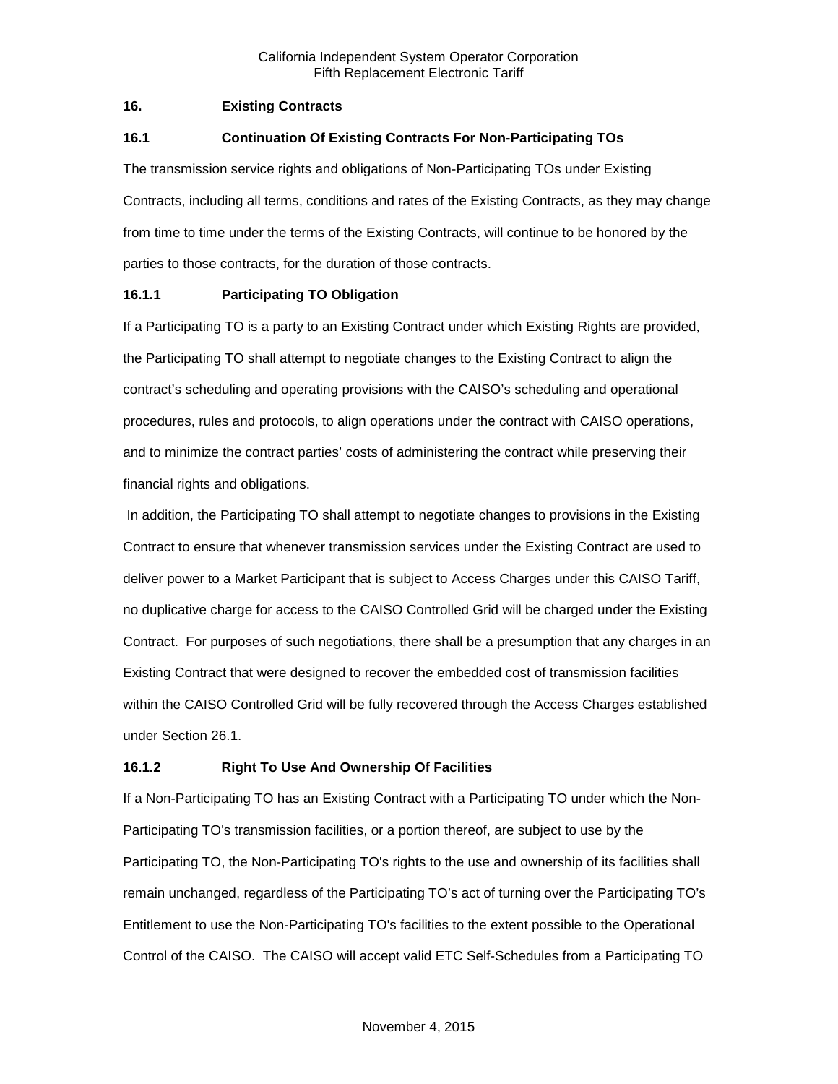## <span id="page-1-0"></span>**16. Existing Contracts**

## <span id="page-1-1"></span>**16.1 Continuation Of Existing Contracts For Non-Participating TOs**

The transmission service rights and obligations of Non-Participating TOs under Existing Contracts, including all terms, conditions and rates of the Existing Contracts, as they may change from time to time under the terms of the Existing Contracts, will continue to be honored by the parties to those contracts, for the duration of those contracts.

# <span id="page-1-2"></span>**16.1.1 Participating TO Obligation**

If a Participating TO is a party to an Existing Contract under which Existing Rights are provided, the Participating TO shall attempt to negotiate changes to the Existing Contract to align the contract's scheduling and operating provisions with the CAISO's scheduling and operational procedures, rules and protocols, to align operations under the contract with CAISO operations, and to minimize the contract parties' costs of administering the contract while preserving their financial rights and obligations.

In addition, the Participating TO shall attempt to negotiate changes to provisions in the Existing Contract to ensure that whenever transmission services under the Existing Contract are used to deliver power to a Market Participant that is subject to Access Charges under this CAISO Tariff, no duplicative charge for access to the CAISO Controlled Grid will be charged under the Existing Contract. For purposes of such negotiations, there shall be a presumption that any charges in an Existing Contract that were designed to recover the embedded cost of transmission facilities within the CAISO Controlled Grid will be fully recovered through the Access Charges established under Section 26.1.

# <span id="page-1-3"></span>**16.1.2 Right To Use And Ownership Of Facilities**

If a Non-Participating TO has an Existing Contract with a Participating TO under which the Non-Participating TO's transmission facilities, or a portion thereof, are subject to use by the Participating TO, the Non-Participating TO's rights to the use and ownership of its facilities shall remain unchanged, regardless of the Participating TO's act of turning over the Participating TO's Entitlement to use the Non-Participating TO's facilities to the extent possible to the Operational Control of the CAISO. The CAISO will accept valid ETC Self-Schedules from a Participating TO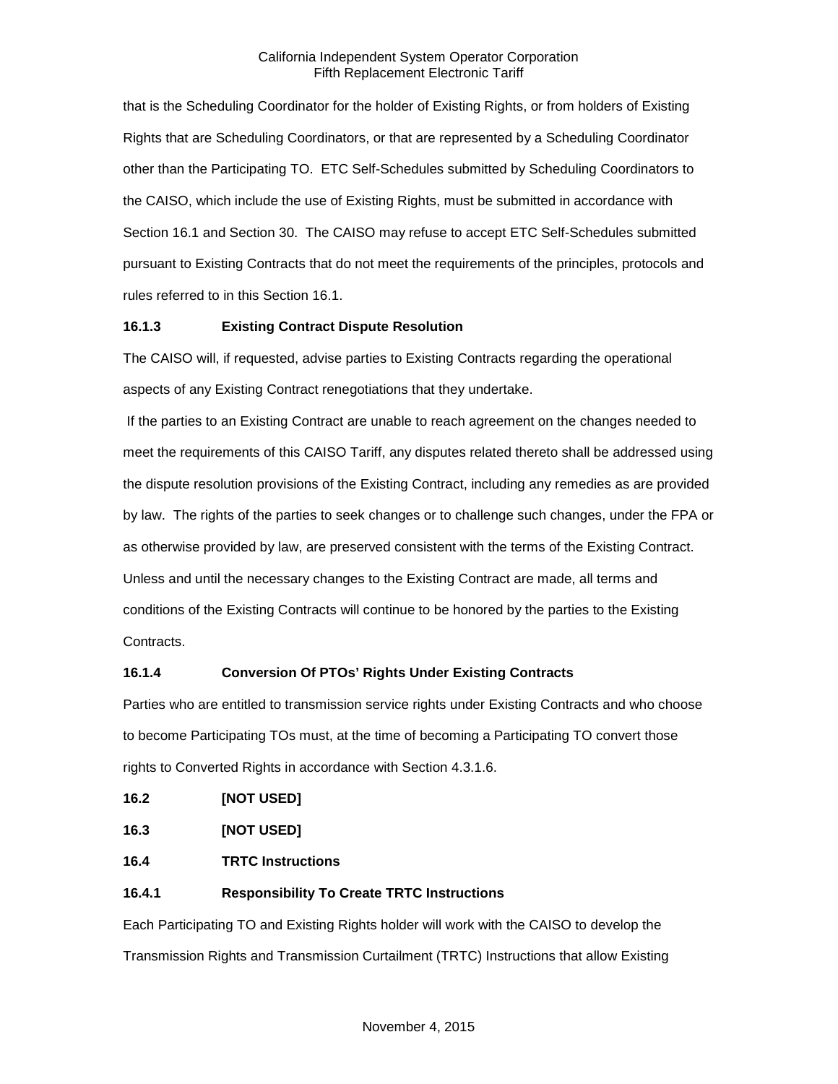that is the Scheduling Coordinator for the holder of Existing Rights, or from holders of Existing Rights that are Scheduling Coordinators, or that are represented by a Scheduling Coordinator other than the Participating TO. ETC Self-Schedules submitted by Scheduling Coordinators to the CAISO, which include the use of Existing Rights, must be submitted in accordance with Section 16.1 and Section 30. The CAISO may refuse to accept ETC Self-Schedules submitted pursuant to Existing Contracts that do not meet the requirements of the principles, protocols and rules referred to in this Section 16.1.

# <span id="page-2-0"></span>**16.1.3 Existing Contract Dispute Resolution**

The CAISO will, if requested, advise parties to Existing Contracts regarding the operational aspects of any Existing Contract renegotiations that they undertake.

If the parties to an Existing Contract are unable to reach agreement on the changes needed to meet the requirements of this CAISO Tariff, any disputes related thereto shall be addressed using the dispute resolution provisions of the Existing Contract, including any remedies as are provided by law. The rights of the parties to seek changes or to challenge such changes, under the FPA or as otherwise provided by law, are preserved consistent with the terms of the Existing Contract. Unless and until the necessary changes to the Existing Contract are made, all terms and conditions of the Existing Contracts will continue to be honored by the parties to the Existing Contracts.

# <span id="page-2-1"></span>**16.1.4 Conversion Of PTOs' Rights Under Existing Contracts**

Parties who are entitled to transmission service rights under Existing Contracts and who choose to become Participating TOs must, at the time of becoming a Participating TO convert those rights to Converted Rights in accordance with Section 4.3.1.6.

<span id="page-2-2"></span>

<span id="page-2-3"></span>**16.3 [NOT USED]**

<span id="page-2-4"></span>**16.4 TRTC Instructions**

# <span id="page-2-5"></span>**16.4.1 Responsibility To Create TRTC Instructions**

Each Participating TO and Existing Rights holder will work with the CAISO to develop the Transmission Rights and Transmission Curtailment (TRTC) Instructions that allow Existing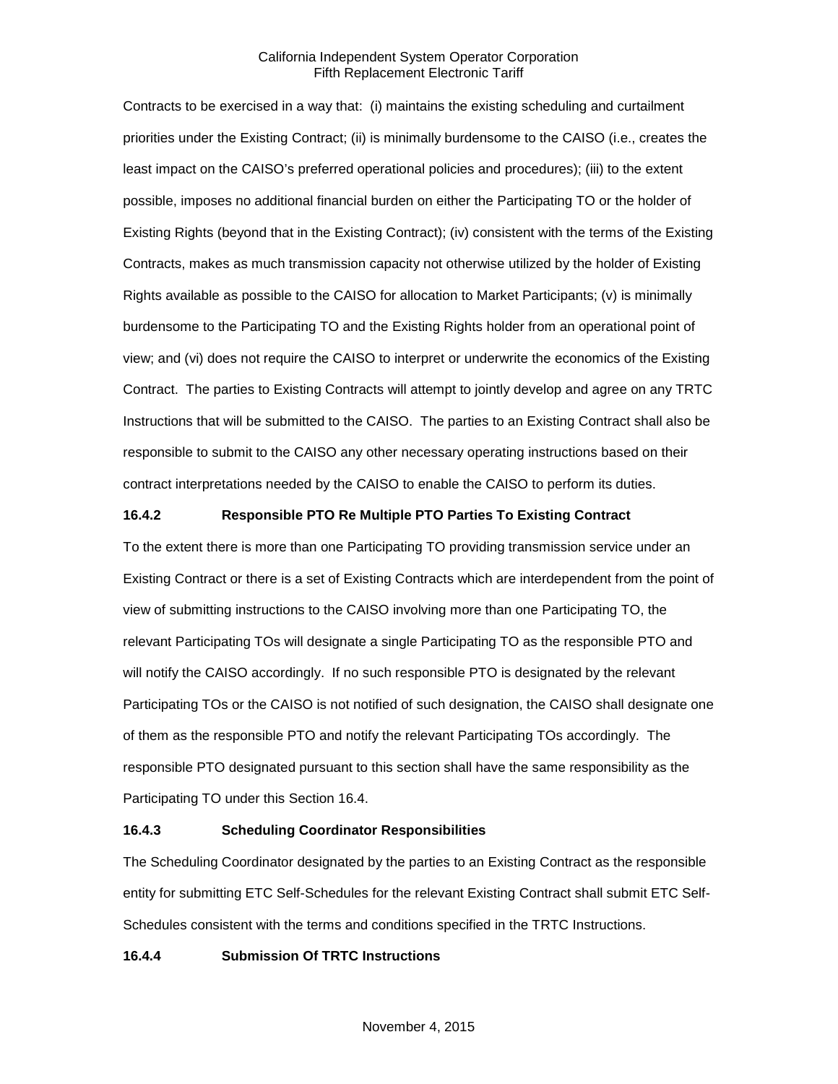Contracts to be exercised in a way that: (i) maintains the existing scheduling and curtailment priorities under the Existing Contract; (ii) is minimally burdensome to the CAISO (i.e., creates the least impact on the CAISO's preferred operational policies and procedures); (iii) to the extent possible, imposes no additional financial burden on either the Participating TO or the holder of Existing Rights (beyond that in the Existing Contract); (iv) consistent with the terms of the Existing Contracts, makes as much transmission capacity not otherwise utilized by the holder of Existing Rights available as possible to the CAISO for allocation to Market Participants; (v) is minimally burdensome to the Participating TO and the Existing Rights holder from an operational point of view; and (vi) does not require the CAISO to interpret or underwrite the economics of the Existing Contract. The parties to Existing Contracts will attempt to jointly develop and agree on any TRTC Instructions that will be submitted to the CAISO. The parties to an Existing Contract shall also be responsible to submit to the CAISO any other necessary operating instructions based on their contract interpretations needed by the CAISO to enable the CAISO to perform its duties.

## <span id="page-3-0"></span>**16.4.2 Responsible PTO Re Multiple PTO Parties To Existing Contract**

To the extent there is more than one Participating TO providing transmission service under an Existing Contract or there is a set of Existing Contracts which are interdependent from the point of view of submitting instructions to the CAISO involving more than one Participating TO, the relevant Participating TOs will designate a single Participating TO as the responsible PTO and will notify the CAISO accordingly. If no such responsible PTO is designated by the relevant Participating TOs or the CAISO is not notified of such designation, the CAISO shall designate one of them as the responsible PTO and notify the relevant Participating TOs accordingly. The responsible PTO designated pursuant to this section shall have the same responsibility as the Participating TO under this Section 16.4.

## <span id="page-3-1"></span>**16.4.3 Scheduling Coordinator Responsibilities**

The Scheduling Coordinator designated by the parties to an Existing Contract as the responsible entity for submitting ETC Self-Schedules for the relevant Existing Contract shall submit ETC Self-Schedules consistent with the terms and conditions specified in the TRTC Instructions.

## <span id="page-3-2"></span>**16.4.4 Submission Of TRTC Instructions**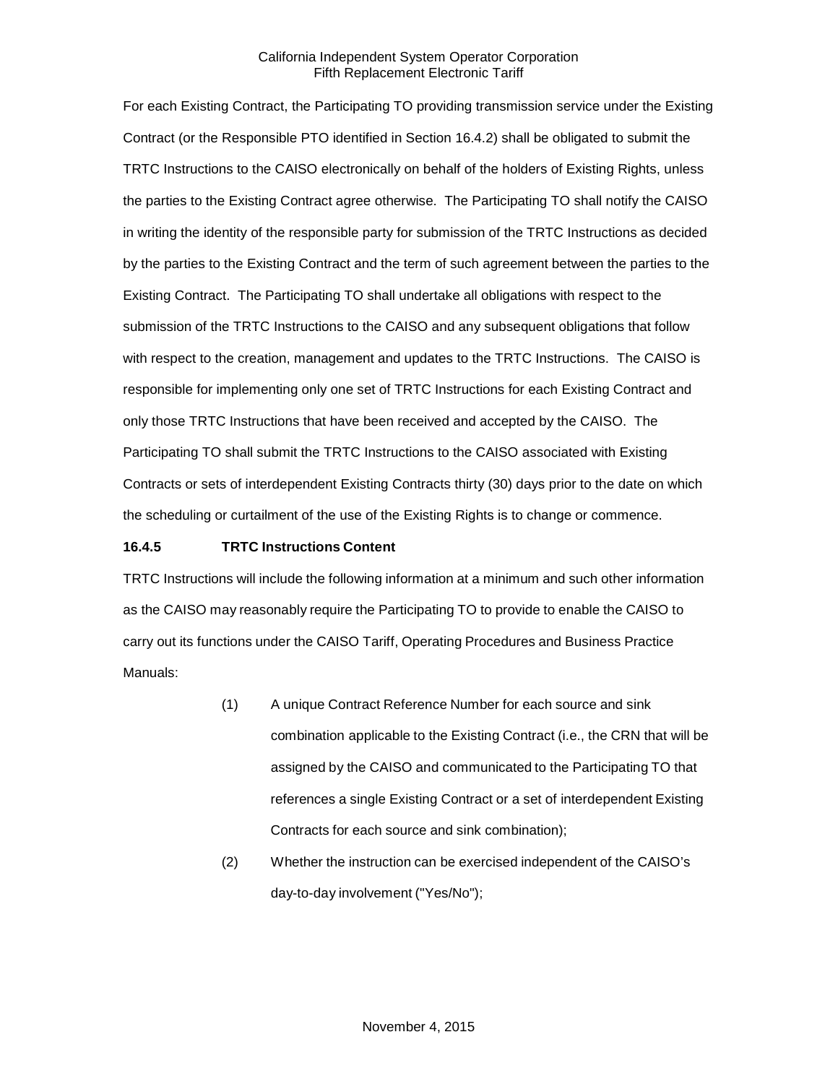For each Existing Contract, the Participating TO providing transmission service under the Existing Contract (or the Responsible PTO identified in Section 16.4.2) shall be obligated to submit the TRTC Instructions to the CAISO electronically on behalf of the holders of Existing Rights, unless the parties to the Existing Contract agree otherwise. The Participating TO shall notify the CAISO in writing the identity of the responsible party for submission of the TRTC Instructions as decided by the parties to the Existing Contract and the term of such agreement between the parties to the Existing Contract. The Participating TO shall undertake all obligations with respect to the submission of the TRTC Instructions to the CAISO and any subsequent obligations that follow with respect to the creation, management and updates to the TRTC Instructions. The CAISO is responsible for implementing only one set of TRTC Instructions for each Existing Contract and only those TRTC Instructions that have been received and accepted by the CAISO. The Participating TO shall submit the TRTC Instructions to the CAISO associated with Existing Contracts or sets of interdependent Existing Contracts thirty (30) days prior to the date on which the scheduling or curtailment of the use of the Existing Rights is to change or commence.

## <span id="page-4-0"></span>**16.4.5 TRTC Instructions Content**

TRTC Instructions will include the following information at a minimum and such other information as the CAISO may reasonably require the Participating TO to provide to enable the CAISO to carry out its functions under the CAISO Tariff, Operating Procedures and Business Practice Manuals:

- (1) A unique Contract Reference Number for each source and sink combination applicable to the Existing Contract (i.e., the CRN that will be assigned by the CAISO and communicated to the Participating TO that references a single Existing Contract or a set of interdependent Existing Contracts for each source and sink combination);
- (2) Whether the instruction can be exercised independent of the CAISO's day-to-day involvement ("Yes/No");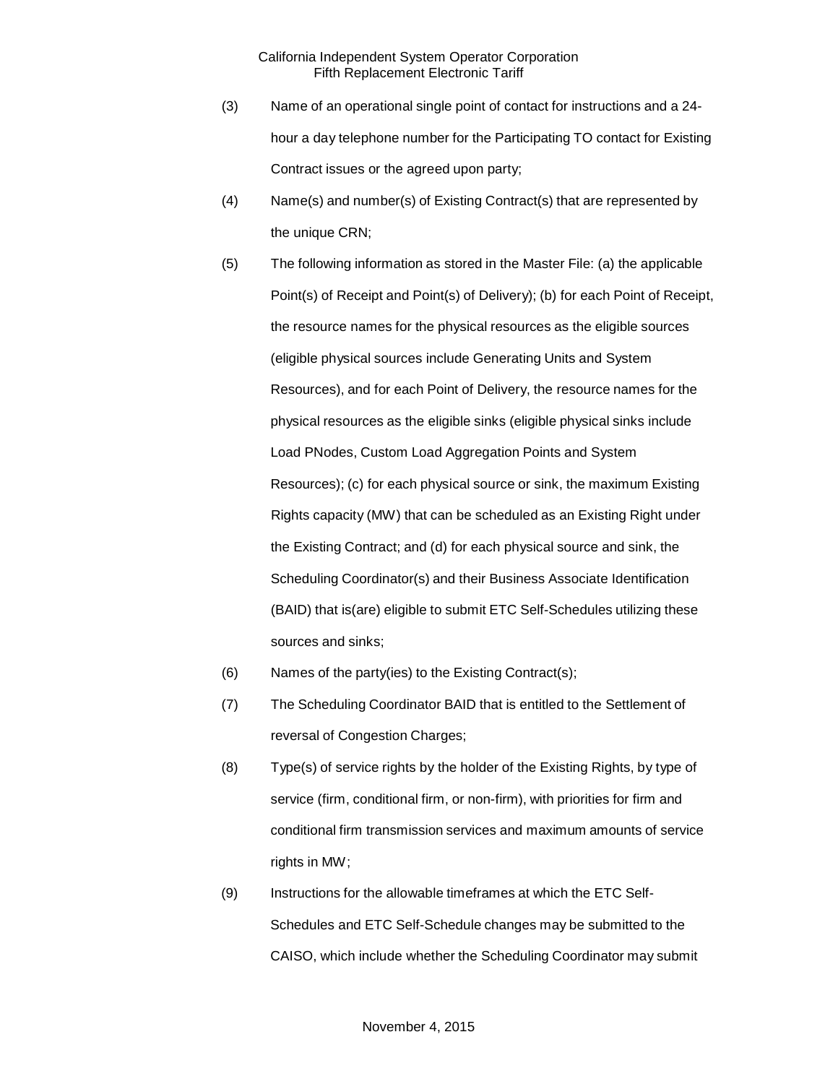- (3) Name of an operational single point of contact for instructions and a 24 hour a day telephone number for the Participating TO contact for Existing Contract issues or the agreed upon party;
- (4) Name(s) and number(s) of Existing Contract(s) that are represented by the unique CRN;
- (5) The following information as stored in the Master File: (a) the applicable Point(s) of Receipt and Point(s) of Delivery); (b) for each Point of Receipt, the resource names for the physical resources as the eligible sources (eligible physical sources include Generating Units and System Resources), and for each Point of Delivery, the resource names for the physical resources as the eligible sinks (eligible physical sinks include Load PNodes, Custom Load Aggregation Points and System Resources); (c) for each physical source or sink, the maximum Existing Rights capacity (MW) that can be scheduled as an Existing Right under the Existing Contract; and (d) for each physical source and sink, the Scheduling Coordinator(s) and their Business Associate Identification (BAID) that is(are) eligible to submit ETC Self-Schedules utilizing these sources and sinks;
- (6) Names of the party(ies) to the Existing Contract(s);
- (7) The Scheduling Coordinator BAID that is entitled to the Settlement of reversal of Congestion Charges;
- (8) Type(s) of service rights by the holder of the Existing Rights, by type of service (firm, conditional firm, or non-firm), with priorities for firm and conditional firm transmission services and maximum amounts of service rights in MW;
- (9) Instructions for the allowable timeframes at which the ETC Self-Schedules and ETC Self-Schedule changes may be submitted to the CAISO, which include whether the Scheduling Coordinator may submit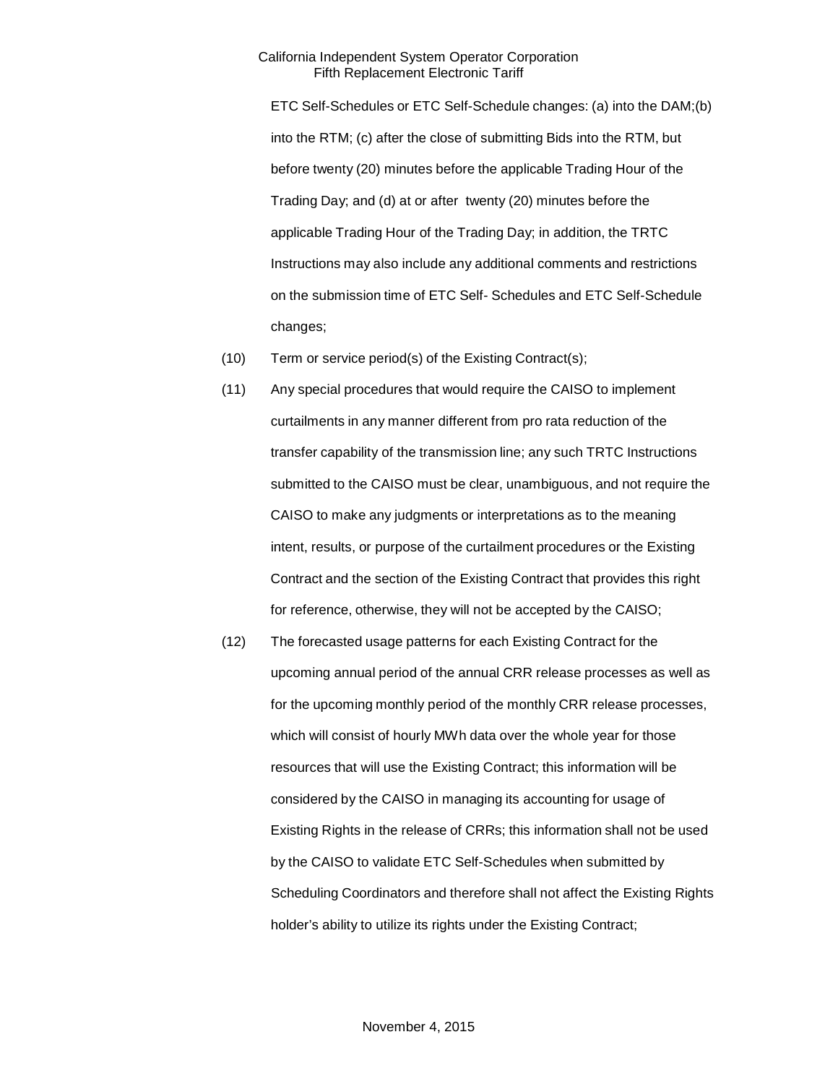ETC Self-Schedules or ETC Self-Schedule changes: (a) into the DAM;(b) into the RTM; (c) after the close of submitting Bids into the RTM, but before twenty (20) minutes before the applicable Trading Hour of the Trading Day; and (d) at or after twenty (20) minutes before the applicable Trading Hour of the Trading Day; in addition, the TRTC Instructions may also include any additional comments and restrictions on the submission time of ETC Self- Schedules and ETC Self-Schedule changes;

- (10) Term or service period(s) of the Existing Contract(s);
- (11) Any special procedures that would require the CAISO to implement curtailments in any manner different from pro rata reduction of the transfer capability of the transmission line; any such TRTC Instructions submitted to the CAISO must be clear, unambiguous, and not require the CAISO to make any judgments or interpretations as to the meaning intent, results, or purpose of the curtailment procedures or the Existing Contract and the section of the Existing Contract that provides this right for reference, otherwise, they will not be accepted by the CAISO;
- (12) The forecasted usage patterns for each Existing Contract for the upcoming annual period of the annual CRR release processes as well as for the upcoming monthly period of the monthly CRR release processes, which will consist of hourly MWh data over the whole year for those resources that will use the Existing Contract; this information will be considered by the CAISO in managing its accounting for usage of Existing Rights in the release of CRRs; this information shall not be used by the CAISO to validate ETC Self-Schedules when submitted by Scheduling Coordinators and therefore shall not affect the Existing Rights holder's ability to utilize its rights under the Existing Contract;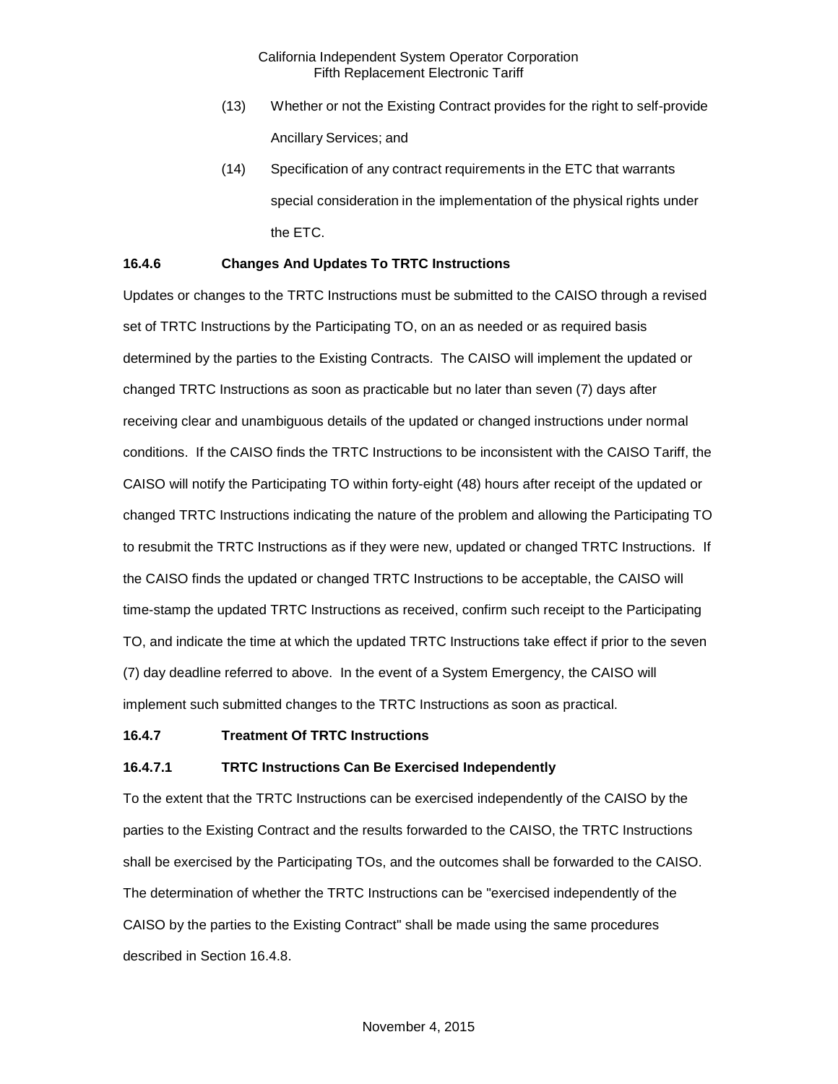- (13) Whether or not the Existing Contract provides for the right to self-provide Ancillary Services; and
- (14) Specification of any contract requirements in the ETC that warrants special consideration in the implementation of the physical rights under the ETC.

## <span id="page-7-0"></span>**16.4.6 Changes And Updates To TRTC Instructions**

Updates or changes to the TRTC Instructions must be submitted to the CAISO through a revised set of TRTC Instructions by the Participating TO, on an as needed or as required basis determined by the parties to the Existing Contracts. The CAISO will implement the updated or changed TRTC Instructions as soon as practicable but no later than seven (7) days after receiving clear and unambiguous details of the updated or changed instructions under normal conditions. If the CAISO finds the TRTC Instructions to be inconsistent with the CAISO Tariff, the CAISO will notify the Participating TO within forty-eight (48) hours after receipt of the updated or changed TRTC Instructions indicating the nature of the problem and allowing the Participating TO to resubmit the TRTC Instructions as if they were new, updated or changed TRTC Instructions. If the CAISO finds the updated or changed TRTC Instructions to be acceptable, the CAISO will time-stamp the updated TRTC Instructions as received, confirm such receipt to the Participating TO, and indicate the time at which the updated TRTC Instructions take effect if prior to the seven (7) day deadline referred to above. In the event of a System Emergency, the CAISO will implement such submitted changes to the TRTC Instructions as soon as practical.

#### <span id="page-7-1"></span>**16.4.7 Treatment Of TRTC Instructions**

#### **16.4.7.1 TRTC Instructions Can Be Exercised Independently**

To the extent that the TRTC Instructions can be exercised independently of the CAISO by the parties to the Existing Contract and the results forwarded to the CAISO, the TRTC Instructions shall be exercised by the Participating TOs, and the outcomes shall be forwarded to the CAISO. The determination of whether the TRTC Instructions can be "exercised independently of the CAISO by the parties to the Existing Contract" shall be made using the same procedures described in Section 16.4.8.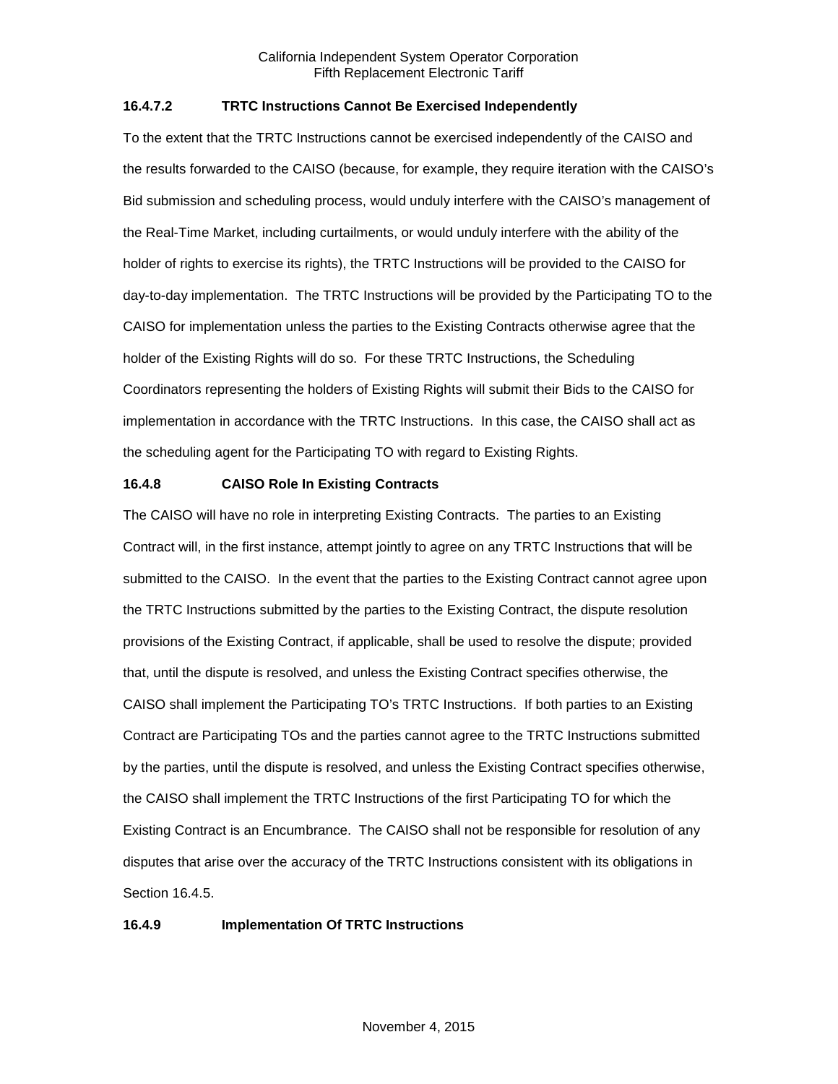# **16.4.7.2 TRTC Instructions Cannot Be Exercised Independently**

To the extent that the TRTC Instructions cannot be exercised independently of the CAISO and the results forwarded to the CAISO (because, for example, they require iteration with the CAISO's Bid submission and scheduling process, would unduly interfere with the CAISO's management of the Real-Time Market, including curtailments, or would unduly interfere with the ability of the holder of rights to exercise its rights), the TRTC Instructions will be provided to the CAISO for day-to-day implementation. The TRTC Instructions will be provided by the Participating TO to the CAISO for implementation unless the parties to the Existing Contracts otherwise agree that the holder of the Existing Rights will do so. For these TRTC Instructions, the Scheduling Coordinators representing the holders of Existing Rights will submit their Bids to the CAISO for implementation in accordance with the TRTC Instructions. In this case, the CAISO shall act as the scheduling agent for the Participating TO with regard to Existing Rights.

# <span id="page-8-0"></span>**16.4.8 CAISO Role In Existing Contracts**

The CAISO will have no role in interpreting Existing Contracts. The parties to an Existing Contract will, in the first instance, attempt jointly to agree on any TRTC Instructions that will be submitted to the CAISO. In the event that the parties to the Existing Contract cannot agree upon the TRTC Instructions submitted by the parties to the Existing Contract, the dispute resolution provisions of the Existing Contract, if applicable, shall be used to resolve the dispute; provided that, until the dispute is resolved, and unless the Existing Contract specifies otherwise, the CAISO shall implement the Participating TO's TRTC Instructions. If both parties to an Existing Contract are Participating TOs and the parties cannot agree to the TRTC Instructions submitted by the parties, until the dispute is resolved, and unless the Existing Contract specifies otherwise, the CAISO shall implement the TRTC Instructions of the first Participating TO for which the Existing Contract is an Encumbrance. The CAISO shall not be responsible for resolution of any disputes that arise over the accuracy of the TRTC Instructions consistent with its obligations in Section 16.4.5.

## <span id="page-8-1"></span>**16.4.9 Implementation Of TRTC Instructions**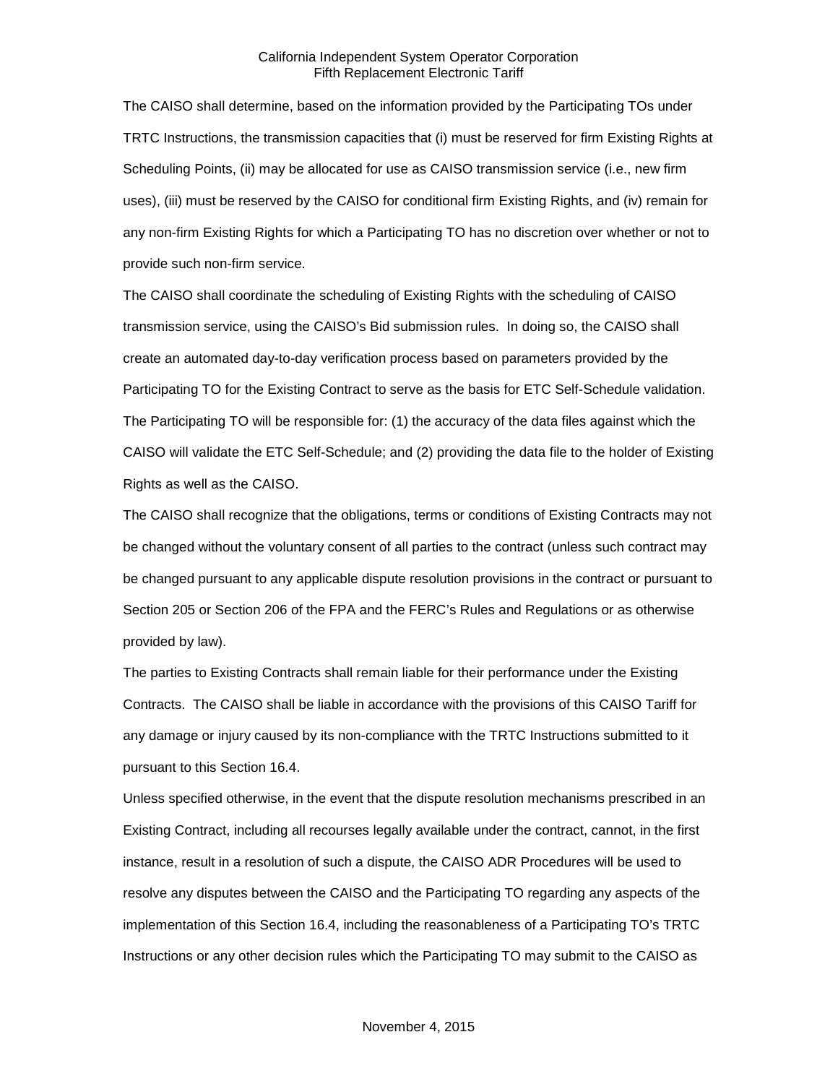The CAISO shall determine, based on the information provided by the Participating TOs under TRTC Instructions, the transmission capacities that (i) must be reserved for firm Existing Rights at Scheduling Points, (ii) may be allocated for use as CAISO transmission service (i.e., new firm uses), (iii) must be reserved by the CAISO for conditional firm Existing Rights, and (iv) remain for any non-firm Existing Rights for which a Participating TO has no discretion over whether or not to provide such non-firm service.

The CAISO shall coordinate the scheduling of Existing Rights with the scheduling of CAISO transmission service, using the CAISO's Bid submission rules. In doing so, the CAISO shall create an automated day-to-day verification process based on parameters provided by the Participating TO for the Existing Contract to serve as the basis for ETC Self-Schedule validation. The Participating TO will be responsible for: (1) the accuracy of the data files against which the CAISO will validate the ETC Self-Schedule; and (2) providing the data file to the holder of Existing Rights as well as the CAISO.

The CAISO shall recognize that the obligations, terms or conditions of Existing Contracts may not be changed without the voluntary consent of all parties to the contract (unless such contract may be changed pursuant to any applicable dispute resolution provisions in the contract or pursuant to Section 205 or Section 206 of the FPA and the FERC's Rules and Regulations or as otherwise provided by law).

The parties to Existing Contracts shall remain liable for their performance under the Existing Contracts. The CAISO shall be liable in accordance with the provisions of this CAISO Tariff for any damage or injury caused by its non-compliance with the TRTC Instructions submitted to it pursuant to this Section 16.4.

Unless specified otherwise, in the event that the dispute resolution mechanisms prescribed in an Existing Contract, including all recourses legally available under the contract, cannot, in the first instance, result in a resolution of such a dispute, the CAISO ADR Procedures will be used to resolve any disputes between the CAISO and the Participating TO regarding any aspects of the implementation of this Section 16.4, including the reasonableness of a Participating TO's TRTC Instructions or any other decision rules which the Participating TO may submit to the CAISO as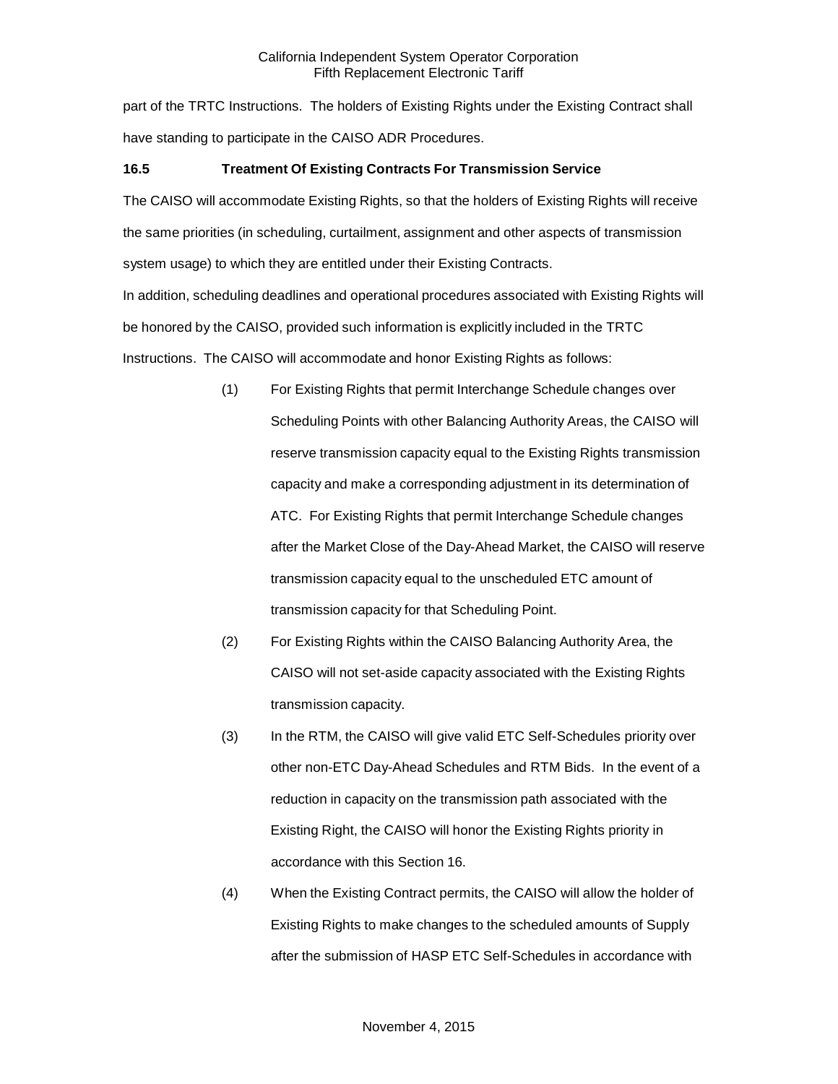part of the TRTC Instructions. The holders of Existing Rights under the Existing Contract shall have standing to participate in the CAISO ADR Procedures.

# <span id="page-10-0"></span>**16.5 Treatment Of Existing Contracts For Transmission Service**

The CAISO will accommodate Existing Rights, so that the holders of Existing Rights will receive the same priorities (in scheduling, curtailment, assignment and other aspects of transmission system usage) to which they are entitled under their Existing Contracts.

In addition, scheduling deadlines and operational procedures associated with Existing Rights will be honored by the CAISO, provided such information is explicitly included in the TRTC Instructions. The CAISO will accommodate and honor Existing Rights as follows:

- (1) For Existing Rights that permit Interchange Schedule changes over Scheduling Points with other Balancing Authority Areas, the CAISO will reserve transmission capacity equal to the Existing Rights transmission capacity and make a corresponding adjustment in its determination of ATC. For Existing Rights that permit Interchange Schedule changes after the Market Close of the Day-Ahead Market, the CAISO will reserve transmission capacity equal to the unscheduled ETC amount of transmission capacity for that Scheduling Point.
- (2) For Existing Rights within the CAISO Balancing Authority Area, the CAISO will not set-aside capacity associated with the Existing Rights transmission capacity.
- (3) In the RTM, the CAISO will give valid ETC Self-Schedules priority over other non-ETC Day-Ahead Schedules and RTM Bids. In the event of a reduction in capacity on the transmission path associated with the Existing Right, the CAISO will honor the Existing Rights priority in accordance with this Section 16.
- (4) When the Existing Contract permits, the CAISO will allow the holder of Existing Rights to make changes to the scheduled amounts of Supply after the submission of HASP ETC Self-Schedules in accordance with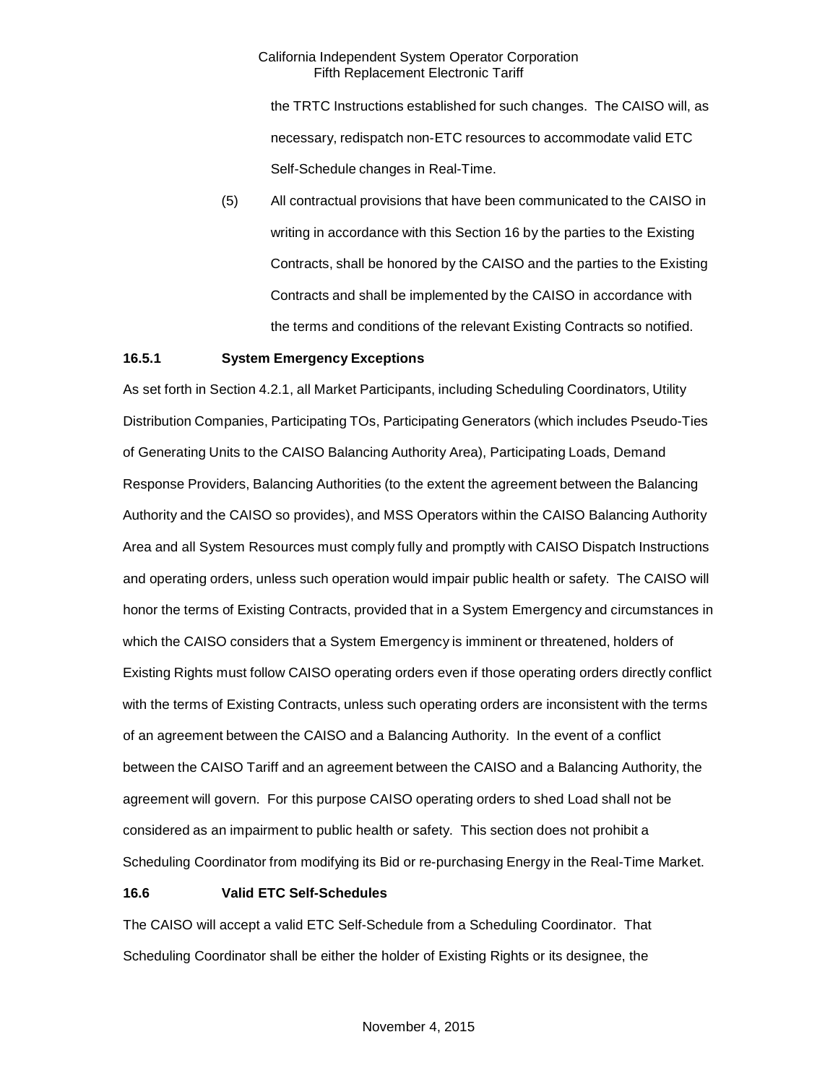the TRTC Instructions established for such changes. The CAISO will, as necessary, redispatch non-ETC resources to accommodate valid ETC Self-Schedule changes in Real-Time.

(5) All contractual provisions that have been communicated to the CAISO in writing in accordance with this Section 16 by the parties to the Existing Contracts, shall be honored by the CAISO and the parties to the Existing Contracts and shall be implemented by the CAISO in accordance with the terms and conditions of the relevant Existing Contracts so notified.

## <span id="page-11-0"></span>**16.5.1 System Emergency Exceptions**

As set forth in Section 4.2.1, all Market Participants, including Scheduling Coordinators, Utility Distribution Companies, Participating TOs, Participating Generators (which includes Pseudo-Ties of Generating Units to the CAISO Balancing Authority Area), Participating Loads, Demand Response Providers, Balancing Authorities (to the extent the agreement between the Balancing Authority and the CAISO so provides), and MSS Operators within the CAISO Balancing Authority Area and all System Resources must comply fully and promptly with CAISO Dispatch Instructions and operating orders, unless such operation would impair public health or safety. The CAISO will honor the terms of Existing Contracts, provided that in a System Emergency and circumstances in which the CAISO considers that a System Emergency is imminent or threatened, holders of Existing Rights must follow CAISO operating orders even if those operating orders directly conflict with the terms of Existing Contracts, unless such operating orders are inconsistent with the terms of an agreement between the CAISO and a Balancing Authority. In the event of a conflict between the CAISO Tariff and an agreement between the CAISO and a Balancing Authority, the agreement will govern. For this purpose CAISO operating orders to shed Load shall not be considered as an impairment to public health or safety. This section does not prohibit a Scheduling Coordinator from modifying its Bid or re-purchasing Energy in the Real-Time Market.

## <span id="page-11-1"></span>**16.6 Valid ETC Self-Schedules**

The CAISO will accept a valid ETC Self-Schedule from a Scheduling Coordinator. That Scheduling Coordinator shall be either the holder of Existing Rights or its designee, the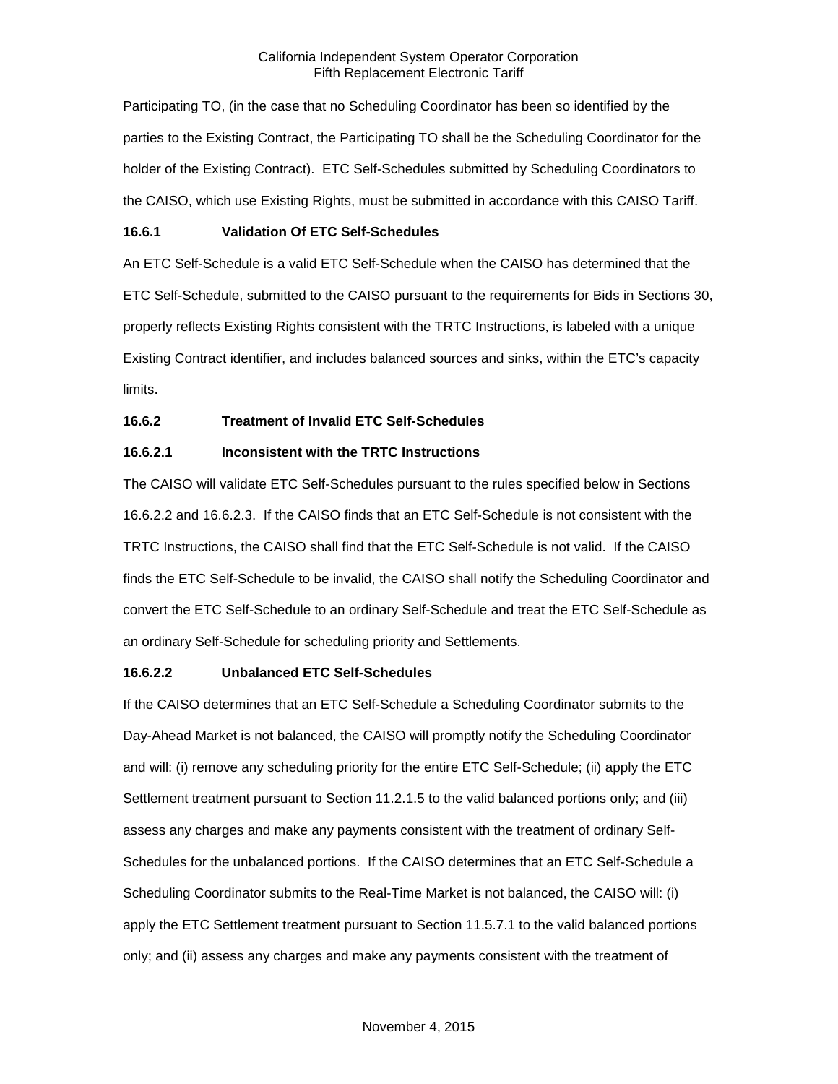Participating TO, (in the case that no Scheduling Coordinator has been so identified by the parties to the Existing Contract, the Participating TO shall be the Scheduling Coordinator for the holder of the Existing Contract). ETC Self-Schedules submitted by Scheduling Coordinators to the CAISO, which use Existing Rights, must be submitted in accordance with this CAISO Tariff.

## <span id="page-12-0"></span>**16.6.1 Validation Of ETC Self-Schedules**

An ETC Self-Schedule is a valid ETC Self-Schedule when the CAISO has determined that the ETC Self-Schedule, submitted to the CAISO pursuant to the requirements for Bids in Sections 30, properly reflects Existing Rights consistent with the TRTC Instructions, is labeled with a unique Existing Contract identifier, and includes balanced sources and sinks, within the ETC's capacity limits.

# <span id="page-12-1"></span>**16.6.2 Treatment of Invalid ETC Self-Schedules**

# **16.6.2.1 Inconsistent with the TRTC Instructions**

The CAISO will validate ETC Self-Schedules pursuant to the rules specified below in Sections 16.6.2.2 and 16.6.2.3. If the CAISO finds that an ETC Self-Schedule is not consistent with the TRTC Instructions, the CAISO shall find that the ETC Self-Schedule is not valid. If the CAISO finds the ETC Self-Schedule to be invalid, the CAISO shall notify the Scheduling Coordinator and convert the ETC Self-Schedule to an ordinary Self-Schedule and treat the ETC Self-Schedule as an ordinary Self-Schedule for scheduling priority and Settlements.

## **16.6.2.2 Unbalanced ETC Self-Schedules**

If the CAISO determines that an ETC Self-Schedule a Scheduling Coordinator submits to the Day-Ahead Market is not balanced, the CAISO will promptly notify the Scheduling Coordinator and will: (i) remove any scheduling priority for the entire ETC Self-Schedule; (ii) apply the ETC Settlement treatment pursuant to Section 11.2.1.5 to the valid balanced portions only; and (iii) assess any charges and make any payments consistent with the treatment of ordinary Self-Schedules for the unbalanced portions. If the CAISO determines that an ETC Self-Schedule a Scheduling Coordinator submits to the Real-Time Market is not balanced, the CAISO will: (i) apply the ETC Settlement treatment pursuant to Section 11.5.7.1 to the valid balanced portions only; and (ii) assess any charges and make any payments consistent with the treatment of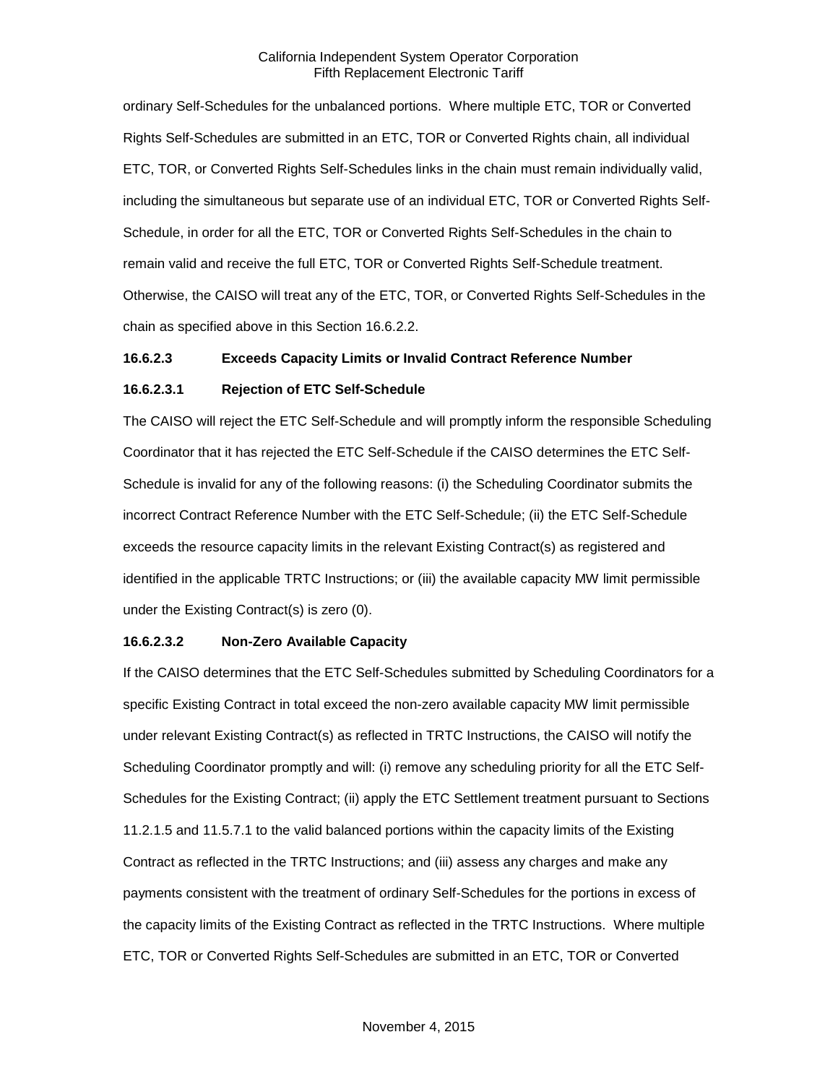ordinary Self-Schedules for the unbalanced portions. Where multiple ETC, TOR or Converted Rights Self-Schedules are submitted in an ETC, TOR or Converted Rights chain, all individual ETC, TOR, or Converted Rights Self-Schedules links in the chain must remain individually valid, including the simultaneous but separate use of an individual ETC, TOR or Converted Rights Self-Schedule, in order for all the ETC, TOR or Converted Rights Self-Schedules in the chain to remain valid and receive the full ETC, TOR or Converted Rights Self-Schedule treatment. Otherwise, the CAISO will treat any of the ETC, TOR, or Converted Rights Self-Schedules in the chain as specified above in this Section 16.6.2.2.

## **16.6.2.3 Exceeds Capacity Limits or Invalid Contract Reference Number**

#### **16.6.2.3.1 Rejection of ETC Self-Schedule**

The CAISO will reject the ETC Self-Schedule and will promptly inform the responsible Scheduling Coordinator that it has rejected the ETC Self-Schedule if the CAISO determines the ETC Self-Schedule is invalid for any of the following reasons: (i) the Scheduling Coordinator submits the incorrect Contract Reference Number with the ETC Self-Schedule; (ii) the ETC Self-Schedule exceeds the resource capacity limits in the relevant Existing Contract(s) as registered and identified in the applicable TRTC Instructions; or (iii) the available capacity MW limit permissible under the Existing Contract(s) is zero (0).

#### **16.6.2.3.2 Non-Zero Available Capacity**

If the CAISO determines that the ETC Self-Schedules submitted by Scheduling Coordinators for a specific Existing Contract in total exceed the non-zero available capacity MW limit permissible under relevant Existing Contract(s) as reflected in TRTC Instructions, the CAISO will notify the Scheduling Coordinator promptly and will: (i) remove any scheduling priority for all the ETC Self-Schedules for the Existing Contract; (ii) apply the ETC Settlement treatment pursuant to Sections 11.2.1.5 and 11.5.7.1 to the valid balanced portions within the capacity limits of the Existing Contract as reflected in the TRTC Instructions; and (iii) assess any charges and make any payments consistent with the treatment of ordinary Self-Schedules for the portions in excess of the capacity limits of the Existing Contract as reflected in the TRTC Instructions. Where multiple ETC, TOR or Converted Rights Self-Schedules are submitted in an ETC, TOR or Converted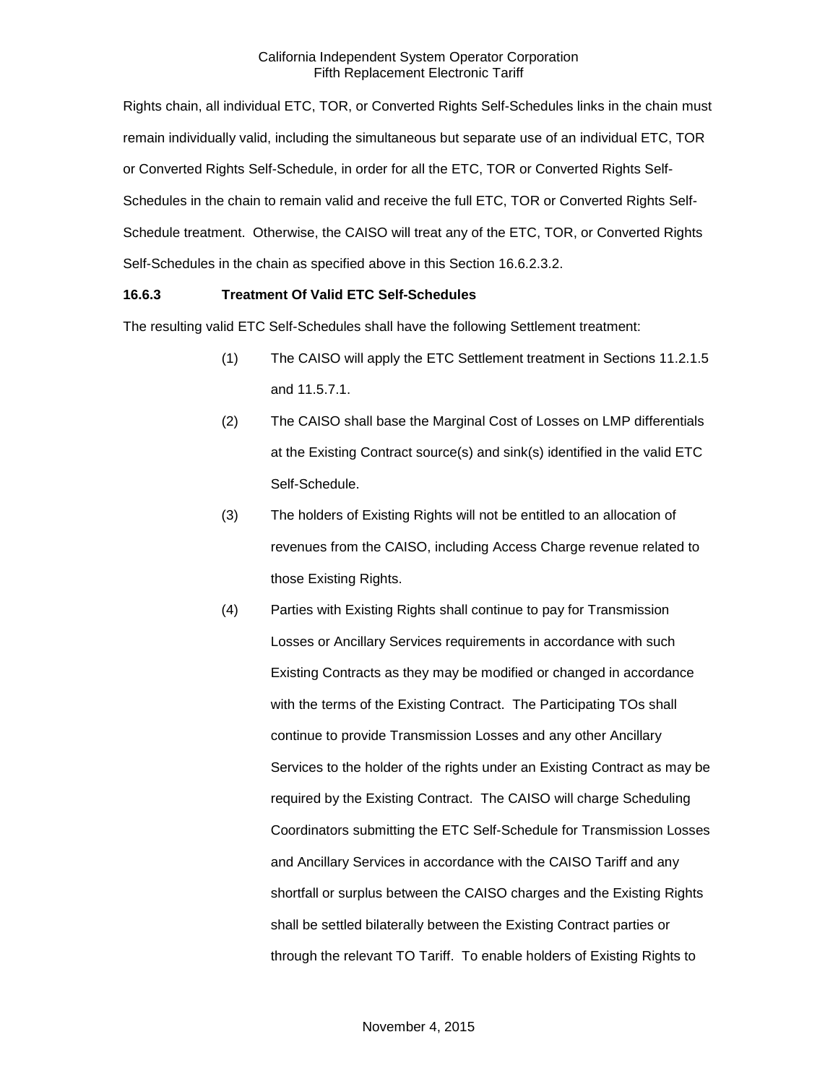Rights chain, all individual ETC, TOR, or Converted Rights Self-Schedules links in the chain must remain individually valid, including the simultaneous but separate use of an individual ETC, TOR or Converted Rights Self-Schedule, in order for all the ETC, TOR or Converted Rights Self-Schedules in the chain to remain valid and receive the full ETC, TOR or Converted Rights Self-Schedule treatment. Otherwise, the CAISO will treat any of the ETC, TOR, or Converted Rights Self-Schedules in the chain as specified above in this Section 16.6.2.3.2.

## <span id="page-14-0"></span>**16.6.3 Treatment Of Valid ETC Self-Schedules**

The resulting valid ETC Self-Schedules shall have the following Settlement treatment:

- (1) The CAISO will apply the ETC Settlement treatment in Sections 11.2.1.5 and 11.5.7.1.
- (2) The CAISO shall base the Marginal Cost of Losses on LMP differentials at the Existing Contract source(s) and sink(s) identified in the valid ETC Self-Schedule.
- (3) The holders of Existing Rights will not be entitled to an allocation of revenues from the CAISO, including Access Charge revenue related to those Existing Rights.
- (4) Parties with Existing Rights shall continue to pay for Transmission Losses or Ancillary Services requirements in accordance with such Existing Contracts as they may be modified or changed in accordance with the terms of the Existing Contract. The Participating TOs shall continue to provide Transmission Losses and any other Ancillary Services to the holder of the rights under an Existing Contract as may be required by the Existing Contract. The CAISO will charge Scheduling Coordinators submitting the ETC Self-Schedule for Transmission Losses and Ancillary Services in accordance with the CAISO Tariff and any shortfall or surplus between the CAISO charges and the Existing Rights shall be settled bilaterally between the Existing Contract parties or through the relevant TO Tariff. To enable holders of Existing Rights to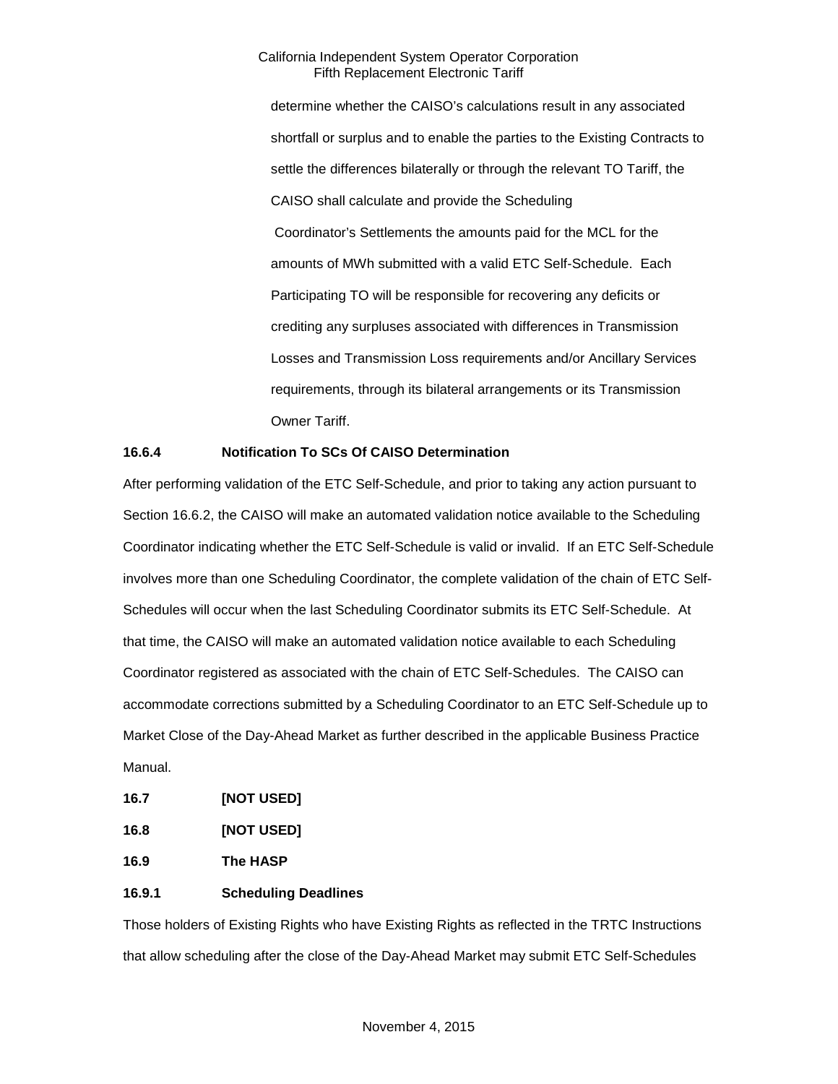determine whether the CAISO's calculations result in any associated shortfall or surplus and to enable the parties to the Existing Contracts to settle the differences bilaterally or through the relevant TO Tariff, the CAISO shall calculate and provide the Scheduling Coordinator's Settlements the amounts paid for the MCL for the amounts of MWh submitted with a valid ETC Self-Schedule. Each Participating TO will be responsible for recovering any deficits or crediting any surpluses associated with differences in Transmission Losses and Transmission Loss requirements and/or Ancillary Services requirements, through its bilateral arrangements or its Transmission Owner Tariff.

## <span id="page-15-0"></span>**16.6.4 Notification To SCs Of CAISO Determination**

After performing validation of the ETC Self-Schedule, and prior to taking any action pursuant to Section 16.6.2, the CAISO will make an automated validation notice available to the Scheduling Coordinator indicating whether the ETC Self-Schedule is valid or invalid. If an ETC Self-Schedule involves more than one Scheduling Coordinator, the complete validation of the chain of ETC Self-Schedules will occur when the last Scheduling Coordinator submits its ETC Self-Schedule. At that time, the CAISO will make an automated validation notice available to each Scheduling Coordinator registered as associated with the chain of ETC Self-Schedules. The CAISO can accommodate corrections submitted by a Scheduling Coordinator to an ETC Self-Schedule up to Market Close of the Day-Ahead Market as further described in the applicable Business Practice Manual.

<span id="page-15-1"></span>**16.7 [NOT USED]**

<span id="page-15-2"></span>**16.8 [NOT USED]**

<span id="page-15-3"></span>**16.9 The HASP**

## <span id="page-15-4"></span>**16.9.1 Scheduling Deadlines**

Those holders of Existing Rights who have Existing Rights as reflected in the TRTC Instructions that allow scheduling after the close of the Day-Ahead Market may submit ETC Self-Schedules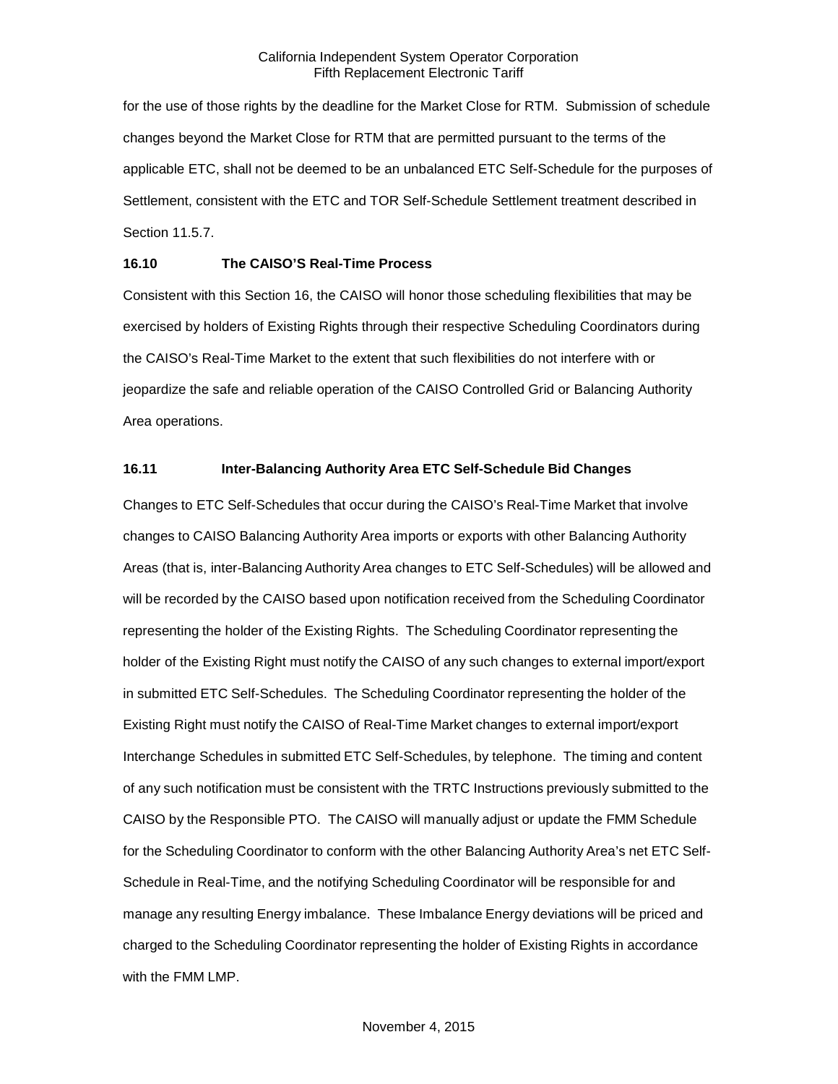for the use of those rights by the deadline for the Market Close for RTM. Submission of schedule changes beyond the Market Close for RTM that are permitted pursuant to the terms of the applicable ETC, shall not be deemed to be an unbalanced ETC Self-Schedule for the purposes of Settlement, consistent with the ETC and TOR Self-Schedule Settlement treatment described in Section 11.5.7.

## <span id="page-16-0"></span>**16.10 The CAISO'S Real-Time Process**

Consistent with this Section 16, the CAISO will honor those scheduling flexibilities that may be exercised by holders of Existing Rights through their respective Scheduling Coordinators during the CAISO's Real-Time Market to the extent that such flexibilities do not interfere with or jeopardize the safe and reliable operation of the CAISO Controlled Grid or Balancing Authority Area operations.

# <span id="page-16-1"></span>**16.11 Inter-Balancing Authority Area ETC Self-Schedule Bid Changes**

Changes to ETC Self-Schedules that occur during the CAISO's Real-Time Market that involve changes to CAISO Balancing Authority Area imports or exports with other Balancing Authority Areas (that is, inter-Balancing Authority Area changes to ETC Self-Schedules) will be allowed and will be recorded by the CAISO based upon notification received from the Scheduling Coordinator representing the holder of the Existing Rights. The Scheduling Coordinator representing the holder of the Existing Right must notify the CAISO of any such changes to external import/export in submitted ETC Self-Schedules. The Scheduling Coordinator representing the holder of the Existing Right must notify the CAISO of Real-Time Market changes to external import/export Interchange Schedules in submitted ETC Self-Schedules, by telephone. The timing and content of any such notification must be consistent with the TRTC Instructions previously submitted to the CAISO by the Responsible PTO. The CAISO will manually adjust or update the FMM Schedule for the Scheduling Coordinator to conform with the other Balancing Authority Area's net ETC Self-Schedule in Real-Time, and the notifying Scheduling Coordinator will be responsible for and manage any resulting Energy imbalance. These Imbalance Energy deviations will be priced and charged to the Scheduling Coordinator representing the holder of Existing Rights in accordance with the FMM LMP.